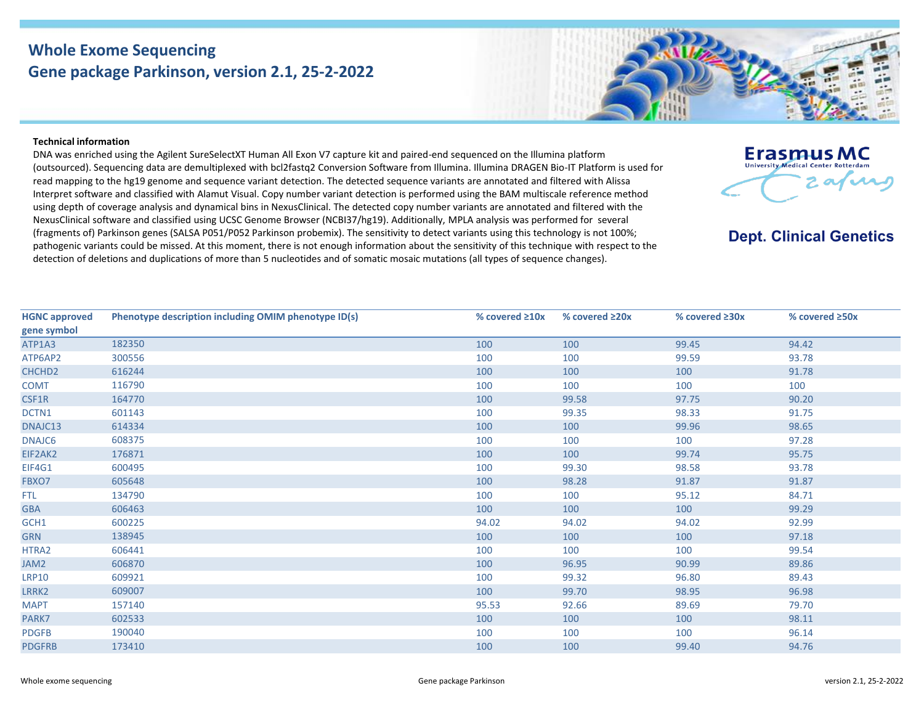## **Whole Exome Sequencing Gene package Parkinson, version 2.1, 25-2-2022**



DNA was enriched using the Agilent SureSelectXT Human All Exon V7 capture kit and paired-end sequenced on the Illumina platform (outsourced). Sequencing data are demultiplexed with bcl2fastq2 Conversion Software from Illumina. Illumina DRAGEN Bio-IT Platform is used for read mapping to the hg19 genome and sequence variant detection. The detected sequence variants are annotated and filtered with Alissa Interpret software and classified with Alamut Visual. Copy number variant detection is performed using the BAM multiscale reference method using depth of coverage analysis and dynamical bins in NexusClinical. The detected copy number variants are annotated and filtered with the NexusClinical software and classified using UCSC Genome Browser (NCBI37/hg19). Additionally, MPLA analysis was performed for several (fragments of) Parkinson genes (SALSA P051/P052 Parkinson probemix). The sensitivity to detect variants using this technology is not 100%; pathogenic variants could be missed. At this moment, there is not enough information about the sensitivity of this technique with respect to the detection of deletions and duplications of more than 5 nucleotides and of somatic mosaic mutations (all types of sequence changes).

| <b>HGNC approved</b> | Phenotype description including OMIM phenotype ID(s) | % covered ≥10x | % covered $\geq 20x$ | % covered $\geq 30x$ | % covered ≥50x |
|----------------------|------------------------------------------------------|----------------|----------------------|----------------------|----------------|
| gene symbol          |                                                      |                |                      |                      |                |
| ATP1A3               | 182350                                               | 100            | 100                  | 99.45                | 94.42          |
| ATP6AP2              | 300556                                               | 100            | 100                  | 99.59                | 93.78          |
| CHCHD <sub>2</sub>   | 616244                                               | 100            | 100                  | 100                  | 91.78          |
| <b>COMT</b>          | 116790                                               | 100            | 100                  | 100                  | 100            |
| CSF1R                | 164770                                               | 100            | 99.58                | 97.75                | 90.20          |
| DCTN1                | 601143                                               | 100            | 99.35                | 98.33                | 91.75          |
| DNAJC13              | 614334                                               | 100            | 100                  | 99.96                | 98.65          |
| DNAJC6               | 608375                                               | 100            | 100                  | 100                  | 97.28          |
| EIF2AK2              | 176871                                               | 100            | 100                  | 99.74                | 95.75          |
| <b>EIF4G1</b>        | 600495                                               | 100            | 99.30                | 98.58                | 93.78          |
| FBXO7                | 605648                                               | 100            | 98.28                | 91.87                | 91.87          |
| FTL.                 | 134790                                               | 100            | 100                  | 95.12                | 84.71          |
| <b>GBA</b>           | 606463                                               | 100            | 100                  | 100                  | 99.29          |
| GCH1                 | 600225                                               | 94.02          | 94.02                | 94.02                | 92.99          |
| <b>GRN</b>           | 138945                                               | 100            | 100                  | 100                  | 97.18          |
| HTRA2                | 606441                                               | 100            | 100                  | 100                  | 99.54          |
| JAM2                 | 606870                                               | 100            | 96.95                | 90.99                | 89.86          |
| <b>LRP10</b>         | 609921                                               | 100            | 99.32                | 96.80                | 89.43          |
| LRRK2                | 609007                                               | 100            | 99.70                | 98.95                | 96.98          |
| <b>MAPT</b>          | 157140                                               | 95.53          | 92.66                | 89.69                | 79.70          |
| PARK7                | 602533                                               | 100            | 100                  | 100                  | 98.11          |
| <b>PDGFB</b>         | 190040                                               | 100            | 100                  | 100                  | 96.14          |
| <b>PDGFRB</b>        | 173410                                               | 100            | 100                  | 99.40                | 94.76          |
|                      |                                                      |                |                      |                      |                |



## **Dept. Clinical Genetics**